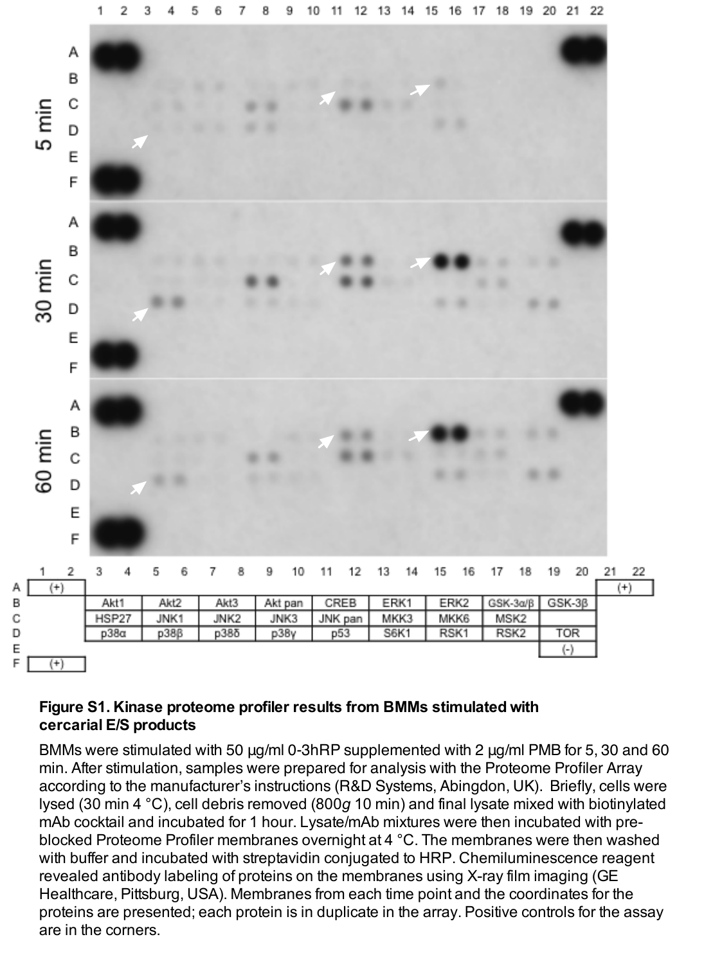

## **Figure S1. Kinase proteome profiler results from BMMs stimulated with cercarial E/S products**

BMMs were stimulated with 50 μg/ml 0-3hRP supplemented with 2 μg/ml PMB for 5, 30 and 60 min. After stimulation, samples were prepared for analysis with the Proteome Profiler Array according to the manufacturer's instructions (R&D Systems, Abingdon, UK). Briefly, cells were lysed (30 min 4 °C), cell debris removed (800*g* 10 min) and final lysate mixed with biotinylated mAb cocktail and incubated for 1 hour. Lysate/mAb mixtures were then incubated with preblocked Proteome Profiler membranes overnight at 4 °C. The membranes were then washed with buffer and incubated with streptavidin conjugated to HRP. Chemiluminescence reagent revealed antibody labeling of proteins on the membranes using X-ray film imaging (GE Healthcare, Pittsburg, USA). Membranes from each time point and the coordinates for the proteins are presented; each protein is in duplicate in the array. Positive controls for the assay are in the corners.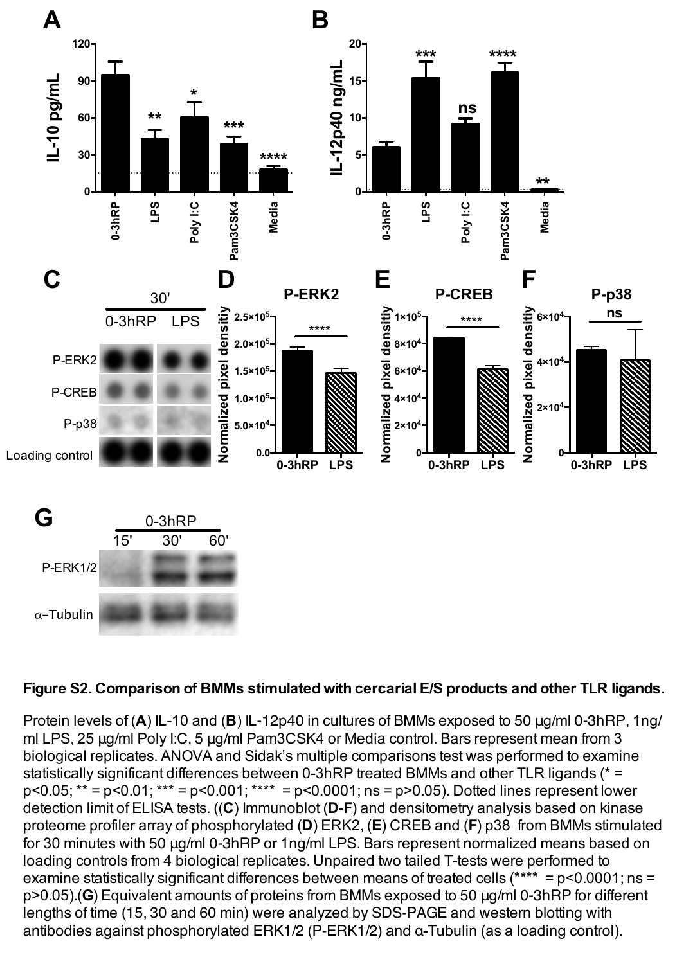

## **Figure S2. Comparison of BMMs stimulated with cercarial E/S products and other TLR ligands.**

Protein levels of (**A**) IL-10 and (**B**) IL-12p40 in cultures of BMMs exposed to 50 μg/ml 0-3hRP, 1ng/ ml LPS, 25 μg/ml Poly I:C, 5 μg/ml Pam3CSK4 or Media control. Bars represent mean from 3 biological replicates. ANOVA and Sidak's multiple comparisons test was performed to examine statistically significant differences between 0-3hRP treated BMMs and other TLR ligands (\* =  $p < 0.05$ ; \*\* =  $p < 0.01$ ; \*\*\* =  $p < 0.001$ ; \*\*\*\* =  $p < 0.0001$ ; ns =  $p > 0.05$ ). Dotted lines represent lower detection limit of ELISA tests. ((**C**) Immunoblot (**D**-**F**) and densitometry analysis based on kinase proteome profiler array of phosphorylated (**D**) ERK2, (**E**) CREB and (**F**) p38 from BMMs stimulated for 30 minutes with 50 μg/ml 0-3hRP or 1ng/ml LPS. Bars represent normalized means based on loading controls from 4 biological replicates. Unpaired two tailed T-tests were performed to examine statistically significant differences between means of treated cells (\*\*\*\* = p<0.0001; ns = p>0.05).(**G**) Equivalent amounts of proteins from BMMs exposed to 50 μg/ml 0-3hRP for different lengths of time (15, 30 and 60 min) were analyzed by SDS-PAGE and western blotting with antibodies against phosphorylated ERK1/2 (P-ERK1/2) and α-Tubulin (as a loading control).